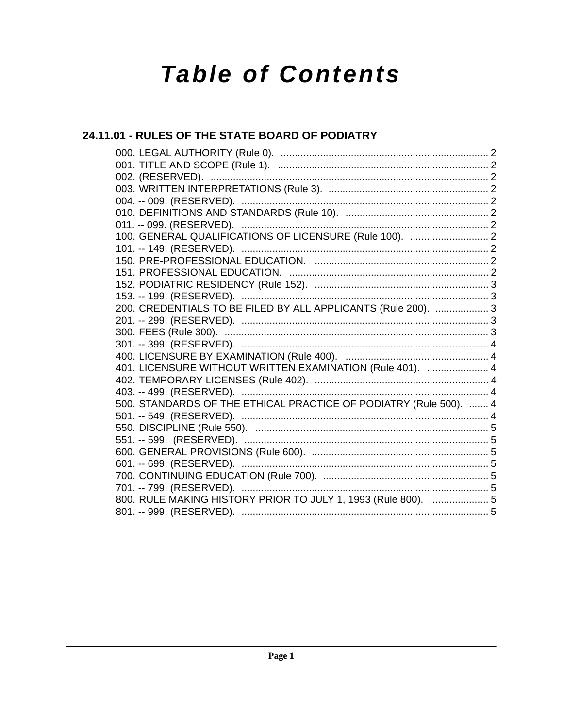# **Table of Contents**

# 24.11.01 - RULES OF THE STATE BOARD OF PODIATRY

| 100. GENERAL QUALIFICATIONS OF LICENSURE (Rule 100).  2           |  |
|-------------------------------------------------------------------|--|
|                                                                   |  |
|                                                                   |  |
|                                                                   |  |
|                                                                   |  |
|                                                                   |  |
| 200. CREDENTIALS TO BE FILED BY ALL APPLICANTS (Rule 200).  3     |  |
|                                                                   |  |
|                                                                   |  |
|                                                                   |  |
|                                                                   |  |
| 401. LICENSURE WITHOUT WRITTEN EXAMINATION (Rule 401).  4         |  |
|                                                                   |  |
|                                                                   |  |
| 500. STANDARDS OF THE ETHICAL PRACTICE OF PODIATRY (Rule 500).  4 |  |
|                                                                   |  |
|                                                                   |  |
|                                                                   |  |
|                                                                   |  |
|                                                                   |  |
|                                                                   |  |
|                                                                   |  |
| 800. RULE MAKING HISTORY PRIOR TO JULY 1, 1993 (Rule 800).  5     |  |
|                                                                   |  |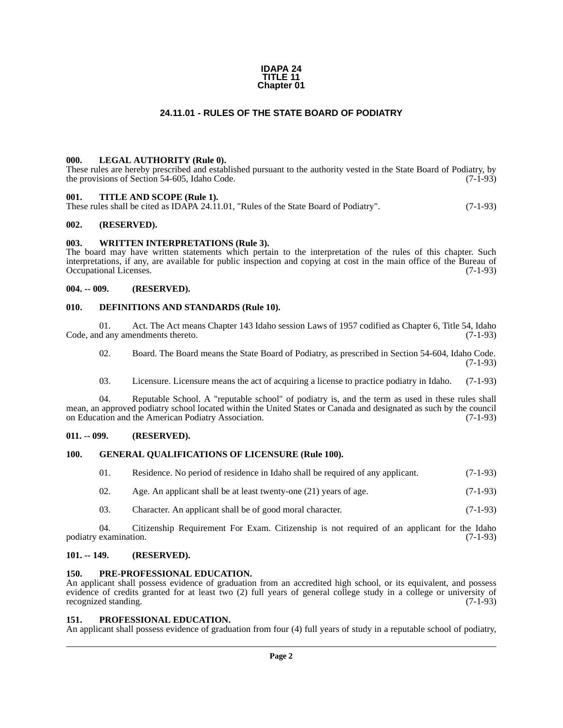#### **IDAPA 24 TITLE 11 Chapter 01**

# **24.11.01 - RULES OF THE STATE BOARD OF PODIATRY**

#### <span id="page-1-1"></span><span id="page-1-0"></span>**000. LEGAL AUTHORITY (Rule 0).**

These rules are hereby prescribed and established pursuant to the authority vested in the State Board of Podiatry, by the provisions of Section 54-605, Idaho Code. (7-1-93)

# <span id="page-1-2"></span>**001. TITLE AND SCOPE (Rule 1).**

These rules shall be cited as IDAPA 24.11.01, "Rules of the State Board of Podiatry". (7-1-93)

# <span id="page-1-3"></span>**002. (RESERVED).**

# <span id="page-1-4"></span>**003. WRITTEN INTERPRETATIONS (Rule 3).**

The board may have written statements which pertain to the interpretation of the rules of this chapter. Such interpretations, if any, are available for public inspection and copying at cost in the main office of the Bureau of Occupational Licenses. (7-1-93)

# <span id="page-1-5"></span>**004. -- 009. (RESERVED).**

#### <span id="page-1-6"></span>**010. DEFINITIONS AND STANDARDS (Rule 10).**

01. Act. The Act means Chapter 143 Idaho session Laws of 1957 codified as Chapter 6, Title 54, Idaho d any amendments thereto. (7-1-93) Code, and any amendments thereto.

02. Board. The Board means the State Board of Podiatry, as prescribed in Section 54-604, Idaho Code. (7-1-93)

03. Licensure. Licensure means the act of acquiring a license to practice podiatry in Idaho. (7-1-93)

04. Reputable School. A "reputable school" of podiatry is, and the term as used in these rules shall mean, an approved podiatry school located within the United States or Canada and designated as such by the council<br>on Education and the American Podiatry Association. (7-1-93) on Education and the American Podiatry Association.

# <span id="page-1-7"></span>**011. -- 099. (RESERVED).**

# <span id="page-1-8"></span>**100. GENERAL QUALIFICATIONS OF LICENSURE (Rule 100).**

| 01. | Residence. No period of residence in Idaho shall be required of any applicant. | $(7-1-93)$ |
|-----|--------------------------------------------------------------------------------|------------|
|-----|--------------------------------------------------------------------------------|------------|

- 02. Age. An applicant shall be at least twenty-one  $(21)$  years of age.  $(7-1-93)$
- 03. Character. An applicant shall be of good moral character. (7-1-93)

04. Citizenship Requirement For Exam. Citizenship is not required of an applicant for the Idaho examination. (7-1-93) podiatry examination.

# <span id="page-1-9"></span>**101. -- 149. (RESERVED).**

# <span id="page-1-10"></span>**150. PRE-PROFESSIONAL EDUCATION.**

An applicant shall possess evidence of graduation from an accredited high school, or its equivalent, and possess evidence of credits granted for at least two (2) full years of general college study in a college or university of recognized standing. (7-1-93) recognized standing.

# <span id="page-1-11"></span>**151. PROFESSIONAL EDUCATION.**

An applicant shall possess evidence of graduation from four (4) full years of study in a reputable school of podiatry,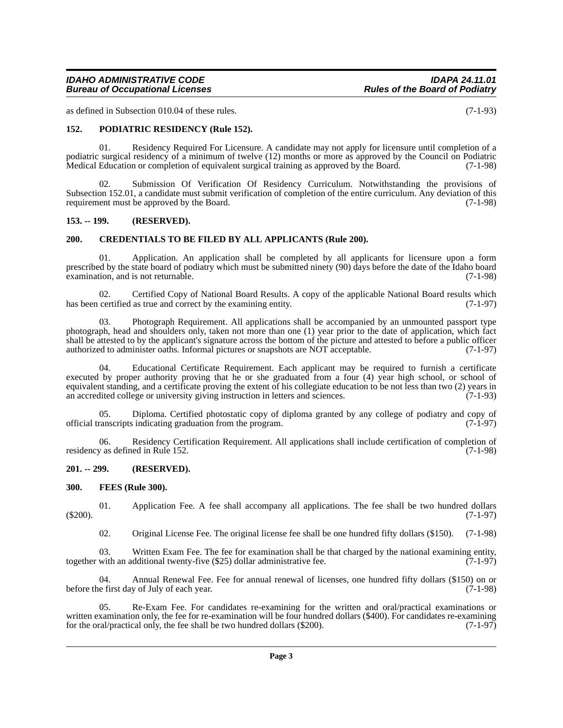# *IDAHO ADMINISTRATIVE CODE IDAPA 24.11.01* **Bureau of Occupational Licenses**

as defined in Subsection 010.04 of these rules. (7-1-93)

# <span id="page-2-0"></span>**152. PODIATRIC RESIDENCY (Rule 152).**

01. Residency Required For Licensure. A candidate may not apply for licensure until completion of a podiatric surgical residency of a minimum of twelve (12) months or more as approved by the Council on Podiatric<br>Medical Education or completion of equivalent surgical training as approved by the Board. (7-1-98) Medical Education or completion of equivalent surgical training as approved by the Board.

02. Submission Of Verification Of Residency Curriculum. Notwithstanding the provisions of Subsection 152.01, a candidate must submit verification of completion of the entire curriculum. Any deviation of this requirement must be approved by the Board. (7-1-98)

# <span id="page-2-1"></span>**153. -- 199. (RESERVED).**

# <span id="page-2-2"></span>**200. CREDENTIALS TO BE FILED BY ALL APPLICANTS (Rule 200).**

01. Application. An application shall be completed by all applicants for licensure upon a form prescribed by the state board of podiatry which must be submitted ninety (90) days before the date of the Idaho board examination, and is not returnable. (7-1-98)

02. Certified Copy of National Board Results. A copy of the applicable National Board results which certified as true and correct by the examining entity. (7-1-97) has been certified as true and correct by the examining entity.

03. Photograph Requirement. All applications shall be accompanied by an unmounted passport type photograph, head and shoulders only, taken not more than one (1) year prior to the date of application, which fact shall be attested to by the applicant's signature across the bottom of the picture and attested to before a public officer authorized to administer oaths. Informal pictures or snapshots are NOT acceptable. (7-1-97) authorized to administer oaths. Informal pictures or snapshots are NOT acceptable.

Educational Certificate Requirement. Each applicant may be required to furnish a certificate executed by proper authority proving that he or she graduated from a four (4) year high school, or school of equivalent standing, and a certificate proving the extent of his collegiate education to be not less than two (2) years in an accredited college or university giving instruction in letters and sciences. (7-1-93) an accredited college or university giving instruction in letters and sciences.

05. Diploma. Certified photostatic copy of diploma granted by any college of podiatry and copy of canscripts indicating graduation from the program. (7-1-97) official transcripts indicating graduation from the program.

06. Residency Certification Requirement. All applications shall include certification of completion of  $\gamma$  as defined in Rule 152. (7-1-98) residency as defined in Rule 152.

#### <span id="page-2-3"></span>**201. -- 299. (RESERVED).**

# <span id="page-2-4"></span>**300. FEES (Rule 300).**

01. Application Fee. A fee shall accompany all applications. The fee shall be two hundred dollars (7-1-97) (\$200). (7-1-97)

02. Original License Fee. The original license fee shall be one hundred fifty dollars (\$150). (7-1-98)

03. Written Exam Fee. The fee for examination shall be that charged by the national examining entity, with an additional twenty-five (\$25) dollar administrative fee. (7-1-97) together with an additional twenty-five (\$25) dollar administrative fee.

04. Annual Renewal Fee. Fee for annual renewal of licenses, one hundred fifty dollars (\$150) on or e first day of July of each year. before the first day of July of each year.

05. Re-Exam Fee. For candidates re-examining for the written and oral/practical examinations or written examination only, the fee for re-examination will be four hundred dollars (\$400). For candidates re-examining for the oral/practical only, the fee shall be two hundred dollars (\$200). (7-1-97) for the oral/practical only, the fee shall be two hundred dollars  $(\$200)$ .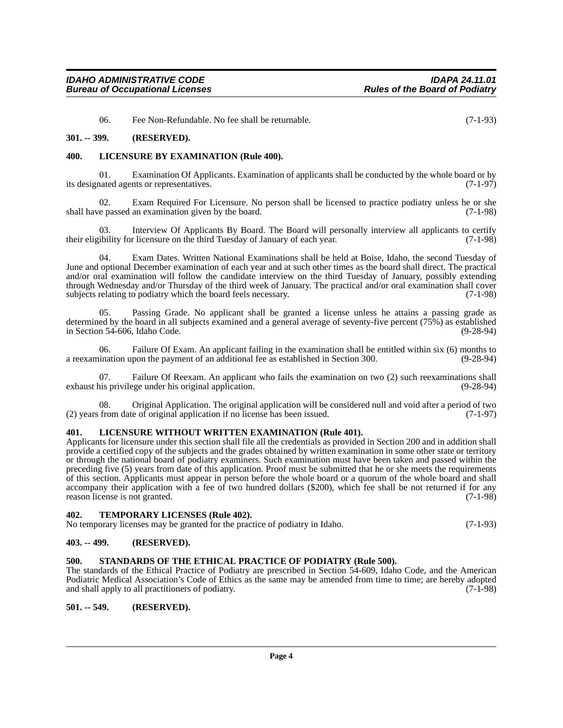06. Fee Non-Refundable. No fee shall be returnable. (7-1-93)

### <span id="page-3-0"></span>**301. -- 399. (RESERVED).**

# <span id="page-3-1"></span>**400. LICENSURE BY EXAMINATION (Rule 400).**

01. Examination Of Applicants. Examination of applicants shall be conducted by the whole board or by nated agents or representatives. (7-1-97) its designated agents or representatives.

02. Exam Required For Licensure. No person shall be licensed to practice podiatry unless he or she e passed an examination given by the board. (7-1-98) shall have passed an examination given by the board.

03. Interview Of Applicants By Board. The Board will personally interview all applicants to certify their eligibility for licensure on the third Tuesday of January of each year. (7-1-98)

04. Exam Dates. Written National Examinations shall be held at Boise, Idaho, the second Tuesday of June and optional December examination of each year and at such other times as the board shall direct. The practical and/or oral examination will follow the candidate interview on the third Tuesday of January, possibly extending through Wednesday and/or Thursday of the third week of January. The practical and/or oral examination shall cover<br>subjects relating to podiatry which the board feels necessary. (7-1-98) subjects relating to podiatry which the board feels necessary.

05. Passing Grade. No applicant shall be granted a license unless he attains a passing grade as determined by the board in all subjects examined and a general average of seventy-five percent (75%) as established<br>in Section 54-606. Idaho Code. (9-28-94) in Section  $54-606$ , Idaho Code.

06. Failure Of Exam. An applicant failing in the examination shall be entitled within six (6) months to ination upon the payment of an additional fee as established in Section 300. (9-28-94) a reexamination upon the payment of an additional fee as established in Section 300.

07. Failure Of Reexam. An applicant who fails the examination on two (2) such reexaminations shall his privilege under his original application. (9-28-94) exhaust his privilege under his original application.

08. Original Application. The original application will be considered null and void after a period of two (2) years from date of original application if no license has been issued. (7-1-97)

# <span id="page-3-2"></span>**401. LICENSURE WITHOUT WRITTEN EXAMINATION (Rule 401).**

Applicants for licensure under this section shall file all the credentials as provided in Section 200 and in addition shall provide a certified copy of the subjects and the grades obtained by written examination in some other state or territory or through the national board of podiatry examiners. Such examination must have been taken and passed within the preceding five (5) years from date of this application. Proof must be submitted that he or she meets the requirements of this section. Applicants must appear in person before the whole board or a quorum of the whole board and shall accompany their application with a fee of two hundred dollars (\$200), which fee shall be not returned if for any reason license is not granted. (7-1-98)

# <span id="page-3-3"></span>**402. TEMPORARY LICENSES (Rule 402).**

No temporary licenses may be granted for the practice of podiatry in Idaho. (7-1-93)

#### <span id="page-3-4"></span>**403. -- 499. (RESERVED).**

# <span id="page-3-5"></span>**500. STANDARDS OF THE ETHICAL PRACTICE OF PODIATRY (Rule 500).**

The standards of the Ethical Practice of Podiatry are prescribed in Section 54-609, Idaho Code, and the American Podiatric Medical Association's Code of Ethics as the same may be amended from time to time; are hereby adopted and shall apply to all practitioners of podiatry. (7-1-98) and shall apply to all practitioners of podiatry.

<span id="page-3-6"></span>**501. -- 549. (RESERVED).**